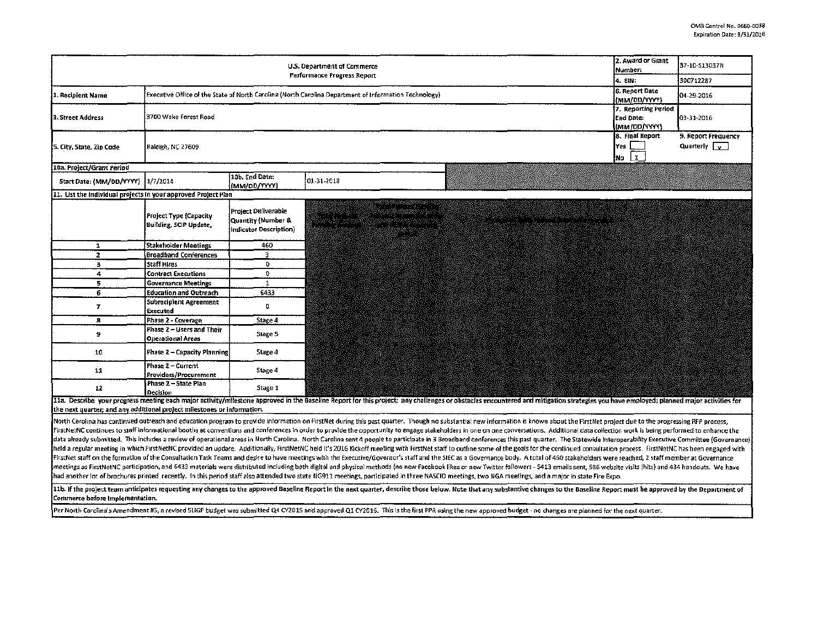|                                                                         | 2. Award or Grant<br>Number:                            | 37-10-S13037N                                                       |                                                                                                                                                                                                                                                                                                            |                                                         |                                              |
|-------------------------------------------------------------------------|---------------------------------------------------------|---------------------------------------------------------------------|------------------------------------------------------------------------------------------------------------------------------------------------------------------------------------------------------------------------------------------------------------------------------------------------------------|---------------------------------------------------------|----------------------------------------------|
| Performance Progress Report                                             |                                                         |                                                                     |                                                                                                                                                                                                                                                                                                            |                                                         | 300712287                                    |
| 1. Recipient Name                                                       | 6. Report Date<br>(MM/00/YYYY)                          | 04-29-2016                                                          |                                                                                                                                                                                                                                                                                                            |                                                         |                                              |
| 3. Street Address                                                       | 3700 Wake Forest Road                                   |                                                                     |                                                                                                                                                                                                                                                                                                            | 7. Reporting Period<br><b>End Date:</b><br>(MM/DD/YYYY) | 03-31-2016                                   |
| 5. City, State, Zip Code                                                | Raleigh, NC 27609                                       |                                                                     |                                                                                                                                                                                                                                                                                                            | 8. Final Report<br>Yes  <br>No X                        | 9. Report Frequency<br>Quarterly $\boxed{v}$ |
| 10a. Project/Grant Period                                               |                                                         |                                                                     |                                                                                                                                                                                                                                                                                                            |                                                         |                                              |
| Start Date: (MM/DD/YYYY) 1/7/2014                                       |                                                         | 10b. End Date:<br>(MM/OD/YYYY)                                      | 01-31-2018                                                                                                                                                                                                                                                                                                 |                                                         |                                              |
| 11. List the individual projects in your approved Project Plan          |                                                         |                                                                     |                                                                                                                                                                                                                                                                                                            |                                                         |                                              |
|                                                                         | Project Type (Capacity<br><b>Building, SCIP Update,</b> | Project Deliverable<br>Quantity (Number &<br>indicator Description) | mentang pendang pana pang<br>ng telah pengarang menggarang kemajaan pengaran dan lain.<br>Pengaran pengaran dan pengaran pengaran pengaran pengaran pengaran pengaran pengaran pengaran pengaran pengara<br>atin siya yang<br>ra maga taong<br>r de la programmento.<br>Lista de la la la contra<br>8 R.E. |                                                         |                                              |
| 1                                                                       | Stakeholder Meetings                                    | 460                                                                 |                                                                                                                                                                                                                                                                                                            |                                                         |                                              |
| $\overline{2}$                                                          | <b>Broadband Conferences</b>                            | 3                                                                   |                                                                                                                                                                                                                                                                                                            |                                                         |                                              |
| з                                                                       | Staff Hires                                             | 0                                                                   |                                                                                                                                                                                                                                                                                                            |                                                         |                                              |
| 4                                                                       | Contract Executions                                     | 0                                                                   |                                                                                                                                                                                                                                                                                                            |                                                         |                                              |
| 5                                                                       | <b>Governance Meetings</b>                              | $\mathbf{1}$                                                        |                                                                                                                                                                                                                                                                                                            |                                                         |                                              |
| 6                                                                       | Education and Outreach                                  | 6433                                                                |                                                                                                                                                                                                                                                                                                            |                                                         |                                              |
| 7                                                                       | Subrecipient Agreement<br>Executed                      | $\Omega$                                                            |                                                                                                                                                                                                                                                                                                            |                                                         |                                              |
| 8                                                                       | Phase 2 - Coverage                                      | Stage 4                                                             |                                                                                                                                                                                                                                                                                                            |                                                         |                                              |
| a.                                                                      | Phase 2 – Users and Their<br>Operational Areas          | Stage 5                                                             |                                                                                                                                                                                                                                                                                                            |                                                         |                                              |
| 10                                                                      | Phase 2 - Capacity Planning                             | Stage 4                                                             |                                                                                                                                                                                                                                                                                                            |                                                         |                                              |
| 11                                                                      | Phase 2 - Current<br>Providers/Procurement              | Stage 4                                                             |                                                                                                                                                                                                                                                                                                            |                                                         |                                              |
| 12                                                                      | Phase 2 - State Plan<br>Decision                        | Stage 1                                                             |                                                                                                                                                                                                                                                                                                            |                                                         |                                              |
| the next quarter; and any additional project milestones or information. |                                                         |                                                                     | 11a. Describe your progress meeting each major activity/milestone approved in the Baseline Report for this project; any challenges or obstacles encountered and mitigation strategies you have employed; planned major activit                                                                             |                                                         |                                              |
|                                                                         |                                                         |                                                                     | North Cerolina has continued outreach and education program to provide information on FirstNet during this past quarter. Though no substantial new information is known about the FirstNet project due to the progressing RFP                                                                              |                                                         |                                              |

FirstNetNC continues to staff informational booths at conventions and conferences in order to provide the opportunity to engage stakeholders in one on one on one conversations. Additional data collection work is being perf data already submitted. This includes a review of operational areas in North Carolina. North Carolina sent 4 people to participate in 3 Broadband conferences this past quarter. The Statewide Interoperability Executive Comm held a regular meeting in which FirstNetNC provided an update. Additionally, FirstNetNC held it's 2016 Kickoff meeting with FirstNet staff to outline some of the goals for the continued consultation process. FirstNetNC has FirstNet staff on the formation of the Consultation Task Teams and desire to have meetings with the Executive/Governor's staff and the SIEC as a Governance body. A total of 460 stakeholders were reached, 2 staff member at .<br>Imeetings as FirstNetNC participation, and 6433 materials were distributed including both digital and physical methods (no new Facebook likes or new Twitter followers - 5413 emails sent, 586 website visits (hits) and 434 recently. In this period staff also attended two state NG911 meetings, participated in three NASCIO meetings, two NGA meetings, and a major In state Fire Expo.

11b. If the project team anticipates requesting any changes to the approved Baseline Report in the next quarter, describe those below. Note that any substantive changes to the Baseline Report must be approved by the Depart Commerce before implementation.

Per North Carolina's Amendment #5, a revised SLIGP budget was submitted Q4 CY2015 and approved Q1 CY2016. This Is the first PPR using the new approved budget - no changes are planned for the next quarter.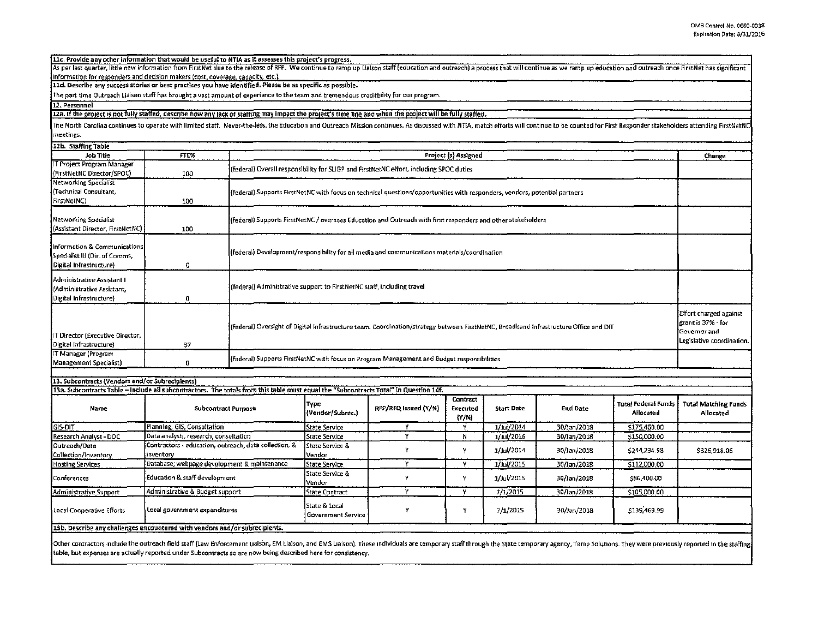|  |  | L1c. Provide any other information that would be useful to NTIA as it assesses this project's progress. |
|--|--|---------------------------------------------------------------------------------------------------------|
|  |  |                                                                                                         |
|  |  |                                                                                                         |
|  |  |                                                                                                         |
|  |  |                                                                                                         |

As per last quarter, little new information from FirstNet due to the release of RFP. We continue to ramp up Lialson staff (education and outreach) a process that will continue as we ramp up education and outreach once Firs information for responders and decision makers (cost, coverage, capacity, etc.).

11d. Describe any success stories or best practices you have identified. Please be as specific as possible.

13b. Describe any challenges encountered with vendors and/or subrecipients.

The part time Outreach Liaison staff has brought a vast amount of experience to the team and tremendous creditbility for our program.

12. Personnel

12a. If the project is not fully staffed, describe how any lack of staffing may impact the project's time line and when the project will be fully staffed.

The North Carolina continues to operate with limited staff. Never-the-less, the Education and Outreach Mission continues. As discussed with NTIA, match efforts will continue to be counted for First Responder stakeholders a meetings.

| 12b. Staffing Table                                                                      |                                                                                                                                                              |                      |                                                                                                                                                                                                                           |                      |                                   |               |                 |                                         |                                                 |  |
|------------------------------------------------------------------------------------------|--------------------------------------------------------------------------------------------------------------------------------------------------------------|----------------------|---------------------------------------------------------------------------------------------------------------------------------------------------------------------------------------------------------------------------|----------------------|-----------------------------------|---------------|-----------------|-----------------------------------------|-------------------------------------------------|--|
| Job Title                                                                                | FTE%                                                                                                                                                         | Project (s) Assigned |                                                                                                                                                                                                                           |                      |                                   |               |                 | Change                                  |                                                 |  |
| IT Project Program Manager<br>(FirstNetNC Director/SPOC)                                 | 100                                                                                                                                                          |                      | (federal) Overall responsibility for SLIGP and FirstNetNC effort, including SPOC duties                                                                                                                                   |                      |                                   |               |                 |                                         |                                                 |  |
| Networking Specialist<br>(Technical Consultant,<br>FirstNetNC)                           | 100                                                                                                                                                          |                      | (federal) Supports FirstNetNC with focus on technical questions/opportunities with responders, vendors, potential partners                                                                                                |                      |                                   |               |                 |                                         |                                                 |  |
| Networking Specialist<br>(Assistant Director, FirstNetNC);                               | 100                                                                                                                                                          |                      | (federal) Supports FirstNetNC / oversees Education and Outreach with first responders and other stakeholders                                                                                                              |                      |                                   |               |                 |                                         |                                                 |  |
| Information & Communications<br>Spedalist III (Dir. of Comms,<br>Digital Infrastructure} | $\mathbf 0$                                                                                                                                                  |                      | (federal) Development/responsibility for all media and communications materials/coordination                                                                                                                              |                      |                                   |               |                 |                                         |                                                 |  |
| Administrative Assistant I<br>(Administrative Assistant,<br>Digital Infrastructure)      | 0                                                                                                                                                            |                      | (federal) Administrative support to FirstNetNC staff, including travel                                                                                                                                                    |                      |                                   |               |                 |                                         |                                                 |  |
| IT Director (Executive Director,<br>Digital Infrastructure)                              | 37                                                                                                                                                           |                      | <b>Effort charged against</b><br>grant is 37% - for<br>(federal) Oversight of Digital Infrastructure team. Coordination/strategy between FirstNetNC, Broadband Infrastructure Office and DIT<br>Legislative coordination. |                      |                                   |               |                 |                                         |                                                 |  |
| IT Manager (Program<br>Management Specialist)                                            | 0                                                                                                                                                            |                      | (federal) Supports FirstNetNC with focus on Program Management and Budget responsibilities                                                                                                                                |                      |                                   |               |                 |                                         |                                                 |  |
|                                                                                          |                                                                                                                                                              |                      |                                                                                                                                                                                                                           |                      |                                   |               |                 |                                         |                                                 |  |
| 13. Subcontracts (Vendors and/or Subrecipients)                                          |                                                                                                                                                              |                      |                                                                                                                                                                                                                           |                      |                                   |               |                 |                                         |                                                 |  |
| Name                                                                                     | 13a. Subcontracts Table - Include all subcontractors. The totals from this table must equal the "Subcontracts Total" in Question 14f.<br>Subcontract Purpose |                      | Түре<br>(Vendor/Subrec.)                                                                                                                                                                                                  | RFP/RFQ Issued (Y/N) | Contract<br>Executed<br>$\{Y/N\}$ | Start Date    | <b>End Date</b> | <b>Total Federal Funds</b><br>Allocated | <b>Total Matching Funds</b><br><b>Allocated</b> |  |
| GIS-DIT                                                                                  | Planning, GIS, Consultation                                                                                                                                  |                      | State Service                                                                                                                                                                                                             | Y                    | Y                                 | $1/j$ ul/2014 | 30/Jan/2018     | \$175,460.00                            |                                                 |  |
| Research Analyst - DOC                                                                   | Data analysis, research, consultation                                                                                                                        |                      | State Service                                                                                                                                                                                                             | Y                    | N                                 | 1/jul/2016    | 30/Jan/2018     | \$150,000.00                            |                                                 |  |
| Outreach/Data<br>Collection/Inventory                                                    | Contractors - education, outreach, data collection, &<br>inventory                                                                                           |                      | State Service &<br>Vendor                                                                                                                                                                                                 | Y                    | Y                                 | 1/Jul/2014    | 30/Jan/2018     | \$244,234.98                            | \$326,918.06                                    |  |
| <b>Hosting Services</b>                                                                  | Database; webpage development & maintenance                                                                                                                  |                      | <b>State Service</b>                                                                                                                                                                                                      | Ÿ.                   | Y                                 | 1/Jul/2015    | 30/Jan/2018     | \$112,000.00                            |                                                 |  |
| Conferences                                                                              | Education & staff development                                                                                                                                |                      | State Service &<br>Vendor                                                                                                                                                                                                 | ٧                    | Y                                 | 1/Jul/2015    | 30/Jan/2018     | \$86,400.00                             |                                                 |  |
| Administrative Support                                                                   | Administrative & Budget support                                                                                                                              |                      | <b>State Contract</b>                                                                                                                                                                                                     | Y                    | Y                                 | 7/1/2015      | 30/Jan/2018     | \$105,000.00                            |                                                 |  |
| Local Cooperative Efforts                                                                | Local government expenditures                                                                                                                                |                      | State & Local                                                                                                                                                                                                             | ٧                    | ٧                                 | 7/1/2015      | 30/Jan/2018     | \$139,469.99                            |                                                 |  |

Other contractors include the outreach field staff (Law Enforcement Liaison, EM Liaison, and EMS Liaison). These individuals are temporary staff through the State temporary agency, Temp Solutions. They were previously repo table, but expenses are actually reported under Subcontracts so are now being described here for consistency.

**Government Service**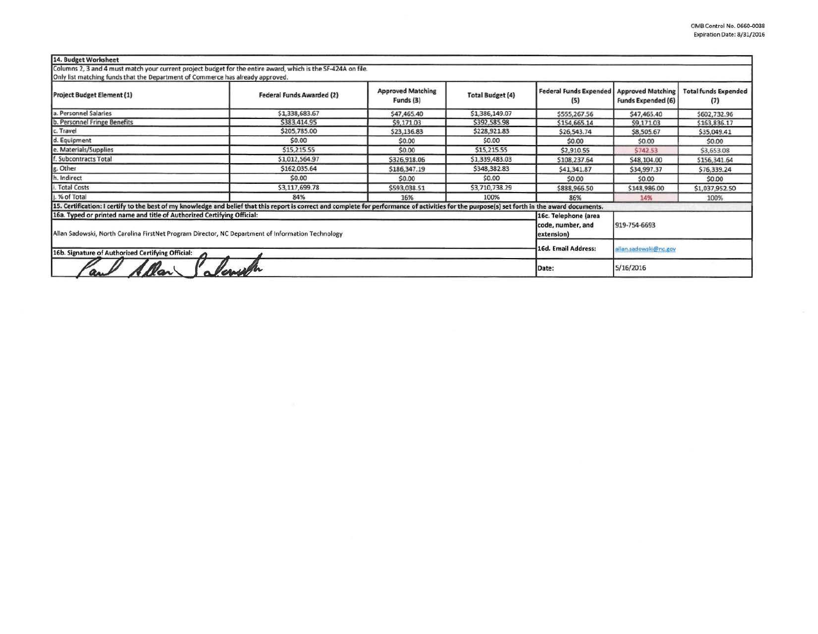| 14. Budget Worksheet                                                                                                                                                                            |                                  |                                       |                         |                                      |                                                       |                                    |
|-------------------------------------------------------------------------------------------------------------------------------------------------------------------------------------------------|----------------------------------|---------------------------------------|-------------------------|--------------------------------------|-------------------------------------------------------|------------------------------------|
| Columns 2, 3 and 4 must match your current project budget for the entire award, which is the SF-424A on file.<br>Only list matching funds that the Department of Commerce has already approved. |                                  |                                       |                         |                                      |                                                       |                                    |
| <b>Project Budget Element (1)</b>                                                                                                                                                               | <b>Federal Funds Awarded (2)</b> | <b>Approved Matching</b><br>Funds (3) | <b>Total Budget (4)</b> | <b>Federal Funds Expended</b><br>(5) | <b>Approved Matching</b><br><b>Funds Expended (6)</b> | <b>Total funds Expended</b><br>(7) |
| a. Personnel Salaries                                                                                                                                                                           | \$1,338,683.67                   | \$47,465.40                           | \$1,386,149.07          | \$555,267.56                         | \$47,465.40                                           | \$602,732.96                       |
| b. Personnel Fringe Benefits                                                                                                                                                                    | \$383,414.95                     | \$9,171.03                            | \$392,585.98            | \$154,665.14                         | \$9,171.03                                            | \$163,836.17                       |
| c. Travel                                                                                                                                                                                       | \$205,785.00                     | \$23,136.83                           | \$228,921.83            | \$26,543.74                          | \$8,505.67                                            | \$35,049.41                        |
| d. Equipment                                                                                                                                                                                    | \$0.00                           | \$0.00                                | \$0.00                  | \$0.00                               | \$0.00                                                | \$0.00                             |
| e. Materials/Supplies                                                                                                                                                                           | \$15,215.55                      | \$0.00                                | \$15,215.55             | \$2,910.55                           | \$742.53                                              | \$3,653.08                         |
| f. Subcontracts Total                                                                                                                                                                           | \$1,012,564.97                   | \$326,918.06                          | \$1,339,483.03          | \$108,237.64                         | \$48,104.00                                           | \$156,341.64                       |
| g. Other                                                                                                                                                                                        | \$162,035.64                     | \$186,347.19                          | \$348,382.83            | \$41,341.87                          | \$34,997.37                                           | \$76,339.24                        |
| h. Indirect                                                                                                                                                                                     | \$0.00                           | \$0.00                                | \$0.00                  | \$0.00                               | \$0.00                                                | \$0.00                             |
| i. Total Costs                                                                                                                                                                                  | \$3,117,699.78                   | \$593,038.51                          | \$3,710,738.29          | \$888,966.50                         | \$148,986.00                                          | \$1,037,952.50                     |
| j. % of Total                                                                                                                                                                                   | 84%                              | 16%                                   | 100%                    | 86%                                  | 14%                                                   | 100%                               |
| 15. Certification: I certify to the best of my knowledge and belief that this report is correct and complete for performance of activities for the purpose(s) set forth in the award documents. |                                  |                                       |                         |                                      |                                                       |                                    |
| 16a. Typed or printed name and title of Authorized Certifying Official:<br>Allan Sadowski, North Carolina FirstNet Program Director, NC Department of Information Technology                    |                                  |                                       |                         |                                      | 919-754-6693                                          |                                    |
| 16b. Signature of Authorized Certifying Official:                                                                                                                                               | 16d. Email Address:              | allan.sadowski@nc.gov                 |                         |                                      |                                                       |                                    |
|                                                                                                                                                                                                 | Date:                            | 5/16/2016                             |                         |                                      |                                                       |                                    |